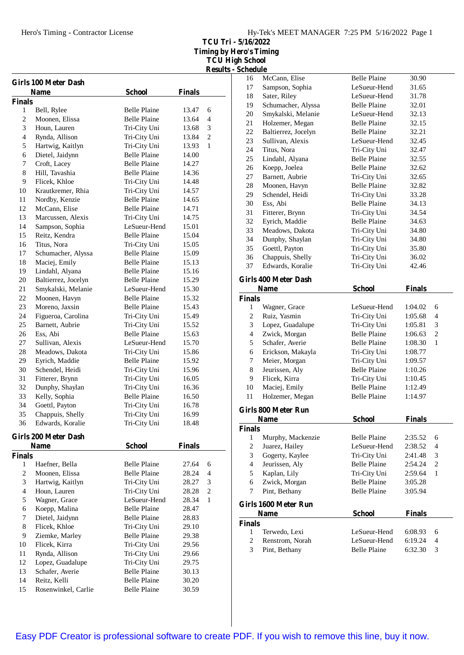**TCU Tri - 5/16/2022 Timing by Hero's Timing TCU High School Results - Schedule**

|               | <b>Girls 100 Meter Dash</b> |                     |               |                         |
|---------------|-----------------------------|---------------------|---------------|-------------------------|
|               | <b>Name</b>                 | School              | <b>Finals</b> |                         |
| <b>Finals</b> |                             |                     |               |                         |
| 1             | Bell, Rylee                 | <b>Belle Plaine</b> | 13.47         | 6                       |
| 2             | Moonen, Elissa              | <b>Belle Plaine</b> | 13.64         | 4                       |
| 3             | Houn, Lauren                | Tri-City Uni        | 13.68         | 3                       |
| 4             | Rynda, Allison              | Tri-City Uni        | 13.84         | $\overline{c}$          |
| 5             | Hartwig, Kaitlyn            | Tri-City Uni        | 13.93         | $\mathbf{1}$            |
| 6             | Dietel, Jaidynn             | <b>Belle Plaine</b> | 14.00         |                         |
| 7             | Croft, Lacey                | <b>Belle Plaine</b> | 14.27         |                         |
| 8             | Hill, Tavashia              | <b>Belle Plaine</b> | 14.36         |                         |
| 9             | Flicek, Khloe               | Tri-City Uni        | 14.48         |                         |
| 10            | Krautkremer, Rhia           | Tri-City Uni        | 14.57         |                         |
| 11            | Nordby, Kenzie              | <b>Belle Plaine</b> | 14.65         |                         |
| 12            | McCann, Elise               | <b>Belle Plaine</b> | 14.71         |                         |
| 13            | Marcussen, Alexis           | Tri-City Uni        | 14.75         |                         |
| 14            | Sampson, Sophia             | LeSueur-Hend        | 15.01         |                         |
| 15            | Reitz, Kendra               | <b>Belle Plaine</b> | 15.04         |                         |
| 16            | Titus, Nora                 | Tri-City Uni        | 15.05         |                         |
| 17            | Schumacher, Alyssa          | <b>Belle Plaine</b> | 15.09         |                         |
| 18            | Maciej, Emily               | <b>Belle Plaine</b> | 15.13         |                         |
| 19            | Lindahl, Alyana             | <b>Belle Plaine</b> | 15.16         |                         |
| 20            | Baltierrez, Jocelyn         | <b>Belle Plaine</b> | 15.29         |                         |
| 21            | Smykalski, Melanie          | LeSueur-Hend        | 15.30         |                         |
| 22            | Moonen, Havyn               | <b>Belle Plaine</b> | 15.32         |                         |
| 23            | Moreno, Jaxsin              | <b>Belle Plaine</b> | 15.43         |                         |
| 24            | Figueroa, Carolina          | Tri-City Uni        | 15.49         |                         |
| 25            | Barnett, Aubrie             | Tri-City Uni        | 15.52         |                         |
| 26            | Ess, Abi                    | <b>Belle Plaine</b> | 15.63         |                         |
| 27            | Sullivan, Alexis            | LeSueur-Hend        | 15.70         |                         |
| 28            | Meadows, Dakota             | Tri-City Uni        | 15.86         |                         |
| 29            | Eyrich, Maddie              | Belle Plaine        | 15.92         |                         |
| 30            | Schendel, Heidi             | Tri-City Uni        | 15.96         |                         |
| 31            | Fitterer, Brynn             | Tri-City Uni        | 16.05         |                         |
| 32            | Dunphy, Shaylan             | Tri-City Uni        | 16.36         |                         |
| 33            | Kelly, Sophia               | <b>Belle Plaine</b> | 16.50         |                         |
| 34            | Goettl, Payton              | Tri-City Uni        | 16.78         |                         |
| 35            | Chappuis, Shelly            | Tri-City Uni        | 16.99         |                         |
| 36            | Edwards, Koralie            | Tri-City Uni        | 18.48         |                         |
|               | Girls 200 Meter Dash        |                     |               |                         |
|               | <b>Name</b>                 | <b>School</b>       | <b>Finals</b> |                         |
| <b>Finals</b> |                             |                     |               |                         |
| 1             | Haefner, Bella              | <b>Belle Plaine</b> | 27.64         | 6                       |
| 2             | Moonen, Elissa              | <b>Belle Plaine</b> | 28.24         | 4                       |
| 3             | Hartwig, Kaitlyn            | Tri-City Uni        | 28.27         | 3                       |
| 4             | Houn, Lauren                | Tri-City Uni        | 28.28         | $\overline{\mathbf{c}}$ |
| 5             | Wagner, Grace               | LeSueur-Hend        | 28.34         | $\mathbf{1}$            |
| 6             | Koepp, Malina               | <b>Belle Plaine</b> | 28.47         |                         |
| 7             | Dietel, Jaidynn             | <b>Belle Plaine</b> | 28.83         |                         |
| 8             | Flicek, Khloe               | Tri-City Uni        | 29.10         |                         |
| 9             | Ziemke, Marley              | <b>Belle Plaine</b> | 29.38         |                         |
| 10            | Flicek, Kirra               | Tri-City Uni        | 29.56         |                         |
| 11            | Rynda, Allison              | Tri-City Uni        | 29.66         |                         |
| 12            | Lopez, Guadalupe            | Tri-City Uni        | 29.75         |                         |
| 13            | Schafer, Averie             | Belle Plaine        | 30.13         |                         |
| 14            | Reitz, Kelli                | Belle Plaine        | 30.20         |                         |
| 15            | Rosenwinkel, Carlie         | <b>Belle Plaine</b> | 30.59         |                         |
|               |                             |                     |               |                         |

| 16                       | McCann, Elise               | <b>Belle Plaine</b> | 30.90         |                          |
|--------------------------|-----------------------------|---------------------|---------------|--------------------------|
| 17                       | Sampson, Sophia             | LeSueur-Hend        | 31.65         |                          |
| 18                       | Sater, Riley                | LeSueur-Hend        | 31.78         |                          |
| 19                       | Schumacher, Alyssa          | <b>Belle Plaine</b> | 32.01         |                          |
| 20                       | Smykalski, Melanie          | LeSueur-Hend        | 32.13         |                          |
| 21                       | Holzemer, Megan             | <b>Belle Plaine</b> | 32.15         |                          |
| $22\,$                   | Baltierrez, Jocelyn         | <b>Belle Plaine</b> | 32.21         |                          |
| 23                       | Sullivan, Alexis            | LeSueur-Hend        | 32.45         |                          |
| 24                       | Titus, Nora                 | Tri-City Uni        | 32.47         |                          |
| 25                       | Lindahl, Alyana             | <b>Belle Plaine</b> | 32.55         |                          |
| 26                       | Koepp, Joelea               | <b>Belle Plaine</b> | 32.62         |                          |
| 27                       | Barnett, Aubrie             | Tri-City Uni        | 32.65         |                          |
| 28                       | Moonen, Havyn               | <b>Belle Plaine</b> | 32.82         |                          |
| 29                       | Schendel, Heidi             | Tri-City Uni        | 33.28         |                          |
| 30                       | Ess, Abi                    | <b>Belle Plaine</b> | 34.13         |                          |
| 31                       | Fitterer, Brynn             | Tri-City Uni        | 34.54         |                          |
| 32                       | Eyrich, Maddie              | <b>Belle Plaine</b> | 34.63         |                          |
| 33                       | Meadows, Dakota             | Tri-City Uni        | 34.80         |                          |
| 34                       | Dunphy, Shaylan             | Tri-City Uni        | 34.80         |                          |
| 35                       | Goettl, Payton              | Tri-City Uni        | 35.80         |                          |
| 36                       | Chappuis, Shelly            | Tri-City Uni        | 36.02         |                          |
| 37                       | Edwards, Koralie            | Tri-City Uni        | 42.46         |                          |
|                          |                             |                     |               |                          |
|                          | <b>Girls 400 Meter Dash</b> |                     |               |                          |
|                          | <b>Name</b>                 | <b>School</b>       | <b>Finals</b> |                          |
| <b>Finals</b>            |                             |                     |               |                          |
| 1                        | Wagner, Grace               | LeSueur-Hend        | 1:04.02       | 6                        |
|                          |                             |                     | 1:05.68       | $\overline{\mathcal{L}}$ |
| $\overline{c}$           | Ruiz, Yasmin                | Tri-City Uni        |               |                          |
| 3                        | Lopez, Guadalupe            | Tri-City Uni        | 1:05.81       | 3                        |
| $\overline{\mathcal{L}}$ | Zwick, Morgan               | <b>Belle Plaine</b> | 1:06.63       | 2                        |
| 5                        | Schafer, Averie             | <b>Belle Plaine</b> | 1:08.30       | 1                        |
| 6                        | Erickson, Makayla           | Tri-City Uni        | 1:08.77       |                          |
| 7                        | Meier, Morgan               | Tri-City Uni        | 1:09.57       |                          |
| 8                        | Jeurissen, Aly              | <b>Belle Plaine</b> | 1:10.26       |                          |
| 9                        | Flicek, Kirra               | Tri-City Uni        | 1:10.45       |                          |
| 10                       | Maciej, Emily               | <b>Belle Plaine</b> | 1:12.49       |                          |
| 11                       | Holzemer, Megan             | <b>Belle Plaine</b> | 1:14.97       |                          |
|                          |                             |                     |               |                          |
|                          | <b>Girls 800 Meter Run</b>  |                     |               |                          |
|                          | Name                        | <b>School</b>       | <b>Finals</b> |                          |
| <b>Finals</b>            |                             |                     |               |                          |
| $\mathbf{1}$             | Murphy, Mackenzie           | <b>Belle Plaine</b> | 2:35.52       | 6                        |
| $\overline{c}$           | Juarez, Hailey              | LeSueur-Hend        | 2:38.52       | 4                        |
| 3                        | Gogerty, Kaylee             | Tri-City Uni        | 2:41.48       | 3                        |
| $\overline{4}$           | Jeurissen, Aly              | <b>Belle Plaine</b> | 2:54.24       | 2                        |
| 5                        | Kaplan, Lily                | Tri-City Uni        | 2:59.64       | 1                        |
| 6                        | Zwick, Morgan               | <b>Belle Plaine</b> | 3:05.28       |                          |
| 7                        | Pint, Bethany               | <b>Belle Plaine</b> | 3:05.94       |                          |
|                          | Girls 1600 Meter Run        |                     |               |                          |
|                          | <b>Name</b>                 | <b>School</b>       | <b>Finals</b> |                          |
| <b>Finals</b>            |                             |                     |               |                          |
| 1                        | Terwedo, Lexi               | LeSueur-Hend        | 6:08.93       | 6                        |
| $\overline{c}$           | Renstrom, Norah             | LeSueur-Hend        | 6:19.24       | 4                        |
| 3                        | Pint, Bethany               | <b>Belle Plaine</b> | 6:32.30       | 3                        |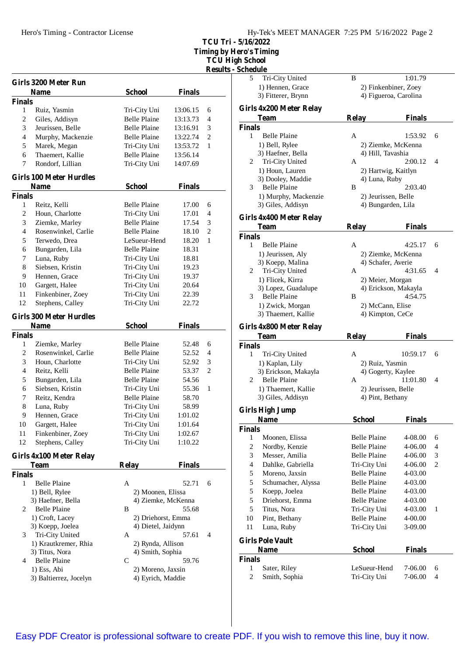**TCU Tri - 5/16/2022**

**Timing by Hero's Timing**

**TCU High** School **Results - Schedule**

|                |                                |                     |               | <b>Result</b> |
|----------------|--------------------------------|---------------------|---------------|---------------|
|                | Girls 3200 Meter Run           |                     |               |               |
|                | <b>Name</b>                    | <b>School</b>       | <b>Finals</b> |               |
| <b>Finals</b>  |                                |                     |               |               |
| 1              | Ruiz, Yasmin                   | Tri-City Uni        | 13:06.15      | 6             |
| $\overline{c}$ | Giles, Addisyn                 | <b>Belle Plaine</b> | 13:13.73      | 4             |
| 3              | Jeurissen, Belle               | <b>Belle Plaine</b> | 13:16.91      | 3             |
| 4              | Murphy, Mackenzie              | <b>Belle Plaine</b> | 13:22.74      | $\mathbf{2}$  |
| 5              | Marek, Megan                   | Tri-City Uni        | 13:53.72      | 1             |
| 6              | Thaemert, Kallie               | <b>Belle Plaine</b> | 13:56.14      |               |
| 7              | Rondorf, Lillian               | Tri-City Uni        | 14:07.69      |               |
|                | <b>Girls 100 Meter Hurdles</b> |                     |               |               |
|                | Name                           | School              | <b>Finals</b> |               |
| <b>Finals</b>  |                                |                     |               |               |
| 1              | Reitz, Kelli                   | Belle Plaine        | 17.00         | 6             |
| 2              | Houn, Charlotte                | Tri-City Uni        | 17.01         | 4             |
| 3              | Ziemke, Marley                 | <b>Belle Plaine</b> | 17.54         | 3             |
| 4              | Rosenwinkel, Carlie            | <b>Belle Plaine</b> | 18.10         | 2             |
| 5              | Terwedo, Drea                  | LeSueur-Hend        | 18.20         | 1             |
| 6              | Bungarden, Lila                | <b>Belle Plaine</b> | 18.31         |               |
| 7              | Luna, Ruby                     | Tri-City Uni        | 18.81         |               |
| 8              | Siebsen, Kristin               | Tri-City Uni        | 19.23         |               |
| 9              | Hennen, Grace                  | Tri-City Uni        | 19.37         |               |
| 10             | Gargett, Halee                 | Tri-City Uni        | 20.64         |               |
| 11             | Finkenbiner, Zoey              | Tri-City Uni        | 22.39         |               |
| 12             | Stephens, Calley               | Tri-City Uni        | 22.72         |               |
|                |                                |                     |               |               |
|                | <b>Girls 300 Meter Hurdles</b> |                     |               |               |
| <b>Finals</b>  | Name                           | <b>School</b>       | <b>Finals</b> |               |
| 1              | Ziemke, Marley                 | <b>Belle Plaine</b> | 52.48         | 6             |
| 2              | Rosenwinkel, Carlie            | <b>Belle Plaine</b> | 52.52         | 4             |
| 3              | Houn, Charlotte                | Tri-City Uni        | 52.92         | 3             |
| $\overline{4}$ | Reitz, Kelli                   | <b>Belle Plaine</b> |               | 2             |
|                |                                |                     | 53.37         |               |
| 5              | Bungarden, Lila                | <b>Belle Plaine</b> | 54.56         |               |
| 6              | Siebsen, Kristin               | Tri-City Uni        | 55.36         | 1             |
| 7              | Reitz, Kendra                  | <b>Belle Plaine</b> | 58.70         |               |
| 8              | Luna, Ruby                     | Tri-City Uni        | 58.99         |               |
| 9              | Hennen, Grace                  | Tri-City Uni        | 1:01.02       |               |
| 10             | Gargett, Halee                 | Tri-City Uni        | 1:01.64       |               |
| 11             | Finkenbiner, Zoey              | Tri-City Uni        | 1:02.67       |               |
| 12             | Stephens, Calley               | Tri-City Uni        | 1:10.22       |               |
|                | Girls 4x100 Meter Relay        |                     |               |               |
|                | 'I`eam                         | Relay               | <b>Finals</b> |               |
| <b>Finals</b>  |                                |                     |               |               |
| 1              | <b>Belle Plaine</b>            | A                   | 52.71         | 6             |
|                | 1) Bell, Rylee                 | 2) Moonen, Elissa   |               |               |
|                | 3) Haefner, Bella              | 4) Ziemke, McKenna  |               |               |
| 2              | <b>Belle Plaine</b>            | B                   | 55.68         |               |
|                | 1) Croft, Lacey                | 2) Driehorst, Emma  |               |               |
|                | 3) Koepp, Joelea               | 4) Dietel, Jaidynn  |               |               |
| 3              | Tri-City United                | A                   | 57.61         | 4             |
|                | 1) Krautkremer, Rhia           | 2) Rynda, Allison   |               |               |
|                | 3) Titus, Nora                 | 4) Smith, Sophia    |               |               |
| 4              | <b>Belle Plaine</b>            | C                   | 59.76         |               |
|                | 1) Ess, Abi                    | 2) Moreno, Jaxsin   |               |               |
|                | 3) Baltierrez, Jocelyn         | 4) Eyrich, Maddie   |               |               |
|                |                                |                     |               |               |
|                |                                |                     |               |               |

| 5                        | Tri-City United                         | B                                    | 1:01.79               |   |
|--------------------------|-----------------------------------------|--------------------------------------|-----------------------|---|
|                          | 1) Hennen, Grace                        |                                      | 2) Finkenbiner, Zoey  |   |
|                          | 3) Fitterer, Brynn                      |                                      | 4) Figueroa, Carolina |   |
|                          | Girls 4x200 Meter Relay                 |                                      |                       |   |
|                          | <b>Team</b>                             |                                      |                       |   |
|                          |                                         | <b>Relay</b>                         | <b>Finals</b>         |   |
| <b>Finals</b><br>1       |                                         |                                      |                       |   |
|                          | Belle Plaine                            | A                                    | 1:53.92               | 6 |
|                          | 1) Bell, Rylee<br>3) Haefner, Bella     |                                      | 2) Ziemke, McKenna    |   |
|                          | Tri-City United                         | 4) Hill, Tavashia<br>A               | 2:00.12               | 4 |
| 2                        | 1) Houn, Lauren                         |                                      |                       |   |
|                          | 3) Dooley, Maddie                       | 2) Hartwig, Kaitlyn<br>4) Luna, Ruby |                       |   |
| 3                        | <b>Belle Plaine</b>                     | B                                    | 2:03.40               |   |
|                          | 1) Murphy, Mackenzie                    | 2) Jeurissen, Belle                  |                       |   |
|                          | 3) Giles, Addisyn                       | 4) Bungarden, Lila                   |                       |   |
|                          |                                         |                                      |                       |   |
|                          | Girls 4x400 Meter Relay                 |                                      |                       |   |
|                          | Team                                    | <b>Relay</b>                         | <b>Finals</b>         |   |
| <b>Finals</b>            |                                         |                                      |                       |   |
| 1                        | <b>Belle Plaine</b>                     | A                                    | 4:25.17               | 6 |
|                          | 1) Jeurissen, Aly                       |                                      | 2) Ziemke, McKenna    |   |
|                          | 3) Koepp, Malina                        | 4) Schafer, Averie                   |                       |   |
| 2                        | Tri-City United                         | A                                    | 4:31.65               | 4 |
|                          | 1) Flicek, Kirra                        | 2) Meier, Morgan                     |                       |   |
|                          | 3) Lopez, Guadalupe                     |                                      | 4) Erickson, Makayla  |   |
| 3                        | <b>Belle Plaine</b>                     | B                                    | 4:54.75               |   |
|                          | 1) Zwick, Morgan                        | 2) McCann, Elise                     |                       |   |
|                          | 3) Thaemert, Kallie                     | 4) Kimpton, CeCe                     |                       |   |
|                          | Girls 4x800 Meter Relay                 |                                      |                       |   |
|                          |                                         |                                      |                       |   |
|                          | <b>Team</b>                             |                                      | <b>Finals</b>         |   |
| <b>Finals</b>            |                                         | <b>Relay</b>                         |                       |   |
| 1                        |                                         | A                                    | 10:59.17              | 6 |
|                          | Tri-City United                         | 2) Ruiz, Yasmin                      |                       |   |
|                          | 1) Kaplan, Lily<br>3) Erickson, Makayla |                                      |                       |   |
| 2                        | <b>Belle Plaine</b>                     | 4) Gogerty, Kaylee<br>A              | 11:01.80              | 4 |
|                          | 1) Thaemert, Kallie                     | 2) Jeurissen, Belle                  |                       |   |
|                          | 3) Giles, Addisyn                       | 4) Pint, Bethany                     |                       |   |
|                          |                                         |                                      |                       |   |
|                          | <b>Girls High Jump</b>                  |                                      |                       |   |
|                          | <b>Name</b>                             | <b>School</b>                        | <b>Finals</b>         |   |
| Finals                   |                                         |                                      |                       |   |
| 1                        | Moonen, Elissa                          | <b>Belle Plaine</b>                  | 4-08.00               | 6 |
| 2                        | Nordby, Kenzie                          | <b>Belle Plaine</b>                  | 4-06.00               | 4 |
| 3                        | Messer, Amilia                          | <b>Belle Plaine</b>                  | 4-06.00               | 3 |
| $\overline{\mathcal{L}}$ | Dahlke, Gabriella                       | Tri-City Uni                         | 4-06.00               | 2 |
| 5                        | Moreno, Jaxsin                          | <b>Belle Plaine</b>                  | 4-03.00               |   |
| 5                        | Schumacher, Alyssa                      | <b>Belle Plaine</b>                  | 4-03.00               |   |
| 5                        | Koepp, Joelea                           | <b>Belle Plaine</b>                  | 4-03.00               |   |
| 5                        | Driehorst, Emma                         | <b>Belle Plaine</b>                  | 4-03.00               |   |
| 5                        | Titus, Nora                             | Tri-City Uni                         | 4-03.00               | 1 |
| 10                       | Pint, Bethany                           | <b>Belle Plaine</b>                  | 4-00.00               |   |
| 11                       | Luna, Ruby                              | Tri-City Uni                         | 3-09.00               |   |
|                          | <b>Girls Pole Vault</b>                 |                                      |                       |   |
|                          | <b>Name</b>                             | <b>School</b>                        | <b>Finals</b>         |   |
| Finals                   |                                         |                                      |                       |   |
| 1                        | Sater, Riley<br>Smith, Sophia           | LeSueur-Hend<br>Tri-City Uni         | 7-06.00               | 6 |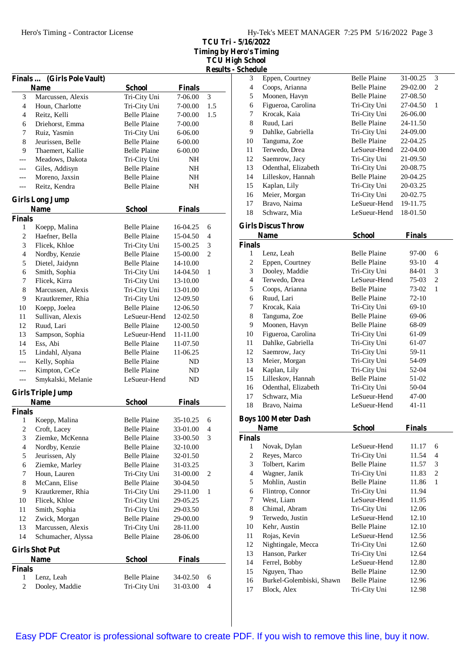**TCU Tri - 5/16/2022 Timing by Hero's Timing TCU High School**

|                |                                      |                                            |                    | <b>Results</b> |
|----------------|--------------------------------------|--------------------------------------------|--------------------|----------------|
| <b>Finals</b>  | (Girls Pole Vault)                   |                                            |                    |                |
|                | <b>Name</b>                          | <b>School</b>                              | <b>Finals</b>      |                |
| 3<br>4         | Marcussen, Alexis<br>Houn, Charlotte | Tri-City Uni<br>Tri-City Uni               | 7-06.00<br>7-00.00 | 3<br>1.5       |
| 4              | Reitz, Kelli                         | <b>Belle Plaine</b>                        | 7-00.00            | 1.5            |
| 6              |                                      | <b>Belle Plaine</b>                        |                    |                |
|                | Driehorst, Emma                      |                                            | 7-00.00            |                |
| 7<br>8         | Ruiz, Yasmin                         | Tri-City Uni<br><b>Belle Plaine</b>        | 6-06.00            |                |
| 9              | Jeurissen, Belle<br>Thaemert, Kallie | <b>Belle Plaine</b>                        | $6 - 00.00$        |                |
|                | Meadows, Dakota                      |                                            | $6 - 00.00$        |                |
| ---            |                                      | Tri-City Uni                               | NH                 |                |
| ---            | Giles, Addisyn                       | <b>Belle Plaine</b>                        | NH                 |                |
| $---$          | Moreno. Jaxsin                       | <b>Belle Plaine</b><br><b>Belle Plaine</b> | NH                 |                |
| ---            | Reitz, Kendra                        |                                            | NH                 |                |
|                | <b>Girls Long Jump</b>               |                                            |                    |                |
|                | <b>Name</b>                          | <b>School</b>                              | <b>Finals</b>      |                |
| <b>Finals</b>  |                                      |                                            |                    |                |
| 1              | Koepp, Malina                        | <b>Belle Plaine</b>                        | 16-04.25           | 6              |
| 2              | Haefner, Bella                       | <b>Belle Plaine</b>                        | 15-04.50           | 4              |
| 3              | Flicek, Khloe                        | Tri-City Uni                               | 15-00.25           | 3              |
| 4              | Nordby, Kenzie                       | <b>Belle Plaine</b>                        | 15-00.00           | $\overline{c}$ |
| 5              | Dietel, Jaidynn                      | <b>Belle Plaine</b>                        | 14-10.00           |                |
| 6              | Smith, Sophia                        | Tri-City Uni                               | 14-04.50           | 1              |
| 7              | Flicek, Kirra                        | Tri-City Uni                               | 13-10.00           |                |
| 8              | Marcussen, Alexis                    | Tri-City Uni                               | 13-01.00           |                |
| 9              | Krautkremer, Rhia                    | Tri-City Uni                               | 12-09.50           |                |
| 10             | Koepp, Joelea                        | <b>Belle Plaine</b>                        | 12-06.50           |                |
| 11             | Sullivan, Alexis                     | LeSueur-Hend                               | 12-02.50           |                |
| 12             | Ruud, Lari                           | <b>Belle Plaine</b>                        | 12-00.50           |                |
| 13             | Sampson, Sophia                      | LeSueur-Hend                               | 11-11.00           |                |
| 14             | Ess, Abi                             | <b>Belle Plaine</b>                        | 11-07.50           |                |
| 15             | Lindahl, Alyana                      | <b>Belle Plaine</b>                        | 11-06.25           |                |
| ---            | Kelly, Sophia                        | <b>Belle Plaine</b>                        | ND                 |                |
| ---            | Kimpton, CeCe                        | <b>Belle Plaine</b>                        | ND                 |                |
| ---            | Smykalski, Melanie                   | LeSueur-Hend                               | ND                 |                |
|                |                                      |                                            |                    |                |
|                | <b>Girls Triple Jump</b>             |                                            |                    |                |
| <b>Finals</b>  | <b>Name</b>                          | <b>School</b>                              | <b>Finals</b>      |                |
| $\mathbf{1}$   | Koepp, Malina                        | <b>Belle Plaine</b>                        | 35-10.25           | 6              |
| $\overline{c}$ | Croft, Lacey                         | <b>Belle Plaine</b>                        | 33-01.00           | 4              |
| 3              | Ziemke, McKenna                      | <b>Belle Plaine</b>                        | 33-00.50           | 3              |
| 4              | Nordby, Kenzie                       | <b>Belle Plaine</b>                        | 32-10.00           |                |
| 5              | Jeurissen, Aly                       | <b>Belle Plaine</b>                        | 32-01.50           |                |
| 6              | Ziemke, Marley                       | <b>Belle Plaine</b>                        | 31-03.25           |                |
| 7              | Houn, Lauren                         | Tri-City Uni                               | 31-00.00           | 2              |
|                | McCann, Elise                        | <b>Belle Plaine</b>                        | 30-04.50           |                |
| 8<br>9         | Krautkremer, Rhia                    | Tri-City Uni                               |                    | 1              |
|                |                                      |                                            | 29-11.00           |                |
| 10             | Flicek, Khloe                        | Tri-City Uni                               | 29-05.25           |                |
| 11             | Smith, Sophia                        | Tri-City Uni                               | 29-03.50           |                |
| 12             | Zwick, Morgan                        | <b>Belle Plaine</b>                        | 29-00.00           |                |
| 13             | Marcussen, Alexis                    | Tri-City Uni                               | 28-11.00           |                |
| 14             | Schumacher, Alyssa                   | <b>Belle Plaine</b>                        | 28-06.00           |                |
|                | <b>Girls Shot Put</b>                |                                            |                    |                |
|                | <b>Name</b>                          | <b>School</b>                              | <b>Finals</b>      |                |
| <b>Finals</b>  |                                      |                                            |                    |                |
| 1              | Lenz, Leah                           | <b>Belle Plaine</b>                        | 34-02.50           | 6              |
| 2              | Dooley, Maddie                       | Tri-City Uni                               | 31-03.00           | 4              |
|                |                                      |                                            |                    |                |

| s - Schedule            |                                           |                     |                  |                     |
|-------------------------|-------------------------------------------|---------------------|------------------|---------------------|
| 3                       | Eppen, Courtney                           | <b>Belle Plaine</b> | 31-00.25         | 3                   |
| $\overline{\mathbf{4}}$ | Coops, Arianna                            | Belle Plaine        | 29-02.00         | $\overline{c}$      |
| 5                       | Moonen, Havyn                             | <b>Belle Plaine</b> | 27-08.50         |                     |
| 6                       | Figueroa, Carolina                        | Tri-City Uni        | 27-04.50         | $\mathbf{1}$        |
| 7                       | Krocak, Kaia                              | Tri-City Uni        | 26-06.00         |                     |
| 8                       | Ruud, Lari                                | <b>Belle Plaine</b> | 24-11.50         |                     |
| 9                       | Dahlke, Gabriella                         | Tri-City Uni        | 24-09.00         |                     |
| 10                      | Tanguma, Zoe                              | <b>Belle Plaine</b> | 22-04.25         |                     |
| 11                      | Terwedo, Drea                             | LeSueur-Hend        | 22-04.00         |                     |
| 12                      | Saemrow, Jacy                             | Tri-City Uni        | 21-09.50         |                     |
| 13                      | Odenthal, Elizabeth                       | Tri-City Uni        | 20-08.75         |                     |
| 14                      | Lilleskov, Hannah                         | <b>Belle Plaine</b> | 20-04.25         |                     |
| 15                      | Kaplan, Lily                              | Tri-City Uni        | 20-03.25         |                     |
| 16                      | Meier, Morgan                             | Tri-City Uni        | 20-02.75         |                     |
| 17                      | Bravo, Naima                              | LeSueur-Hend        | 19-11.75         |                     |
| 18                      | Schwarz, Mia                              | LeSueur-Hend        | 18-01.50         |                     |
|                         |                                           |                     |                  |                     |
|                         | <b>Girls Discus Throw</b>                 |                     |                  |                     |
|                         | <b>Name</b>                               | <b>School</b>       | <b>Finals</b>    |                     |
| <b>Finals</b><br>1      | Lenz. Leah                                | <b>Belle Plaine</b> |                  |                     |
| $\overline{c}$          | Eppen, Courtney                           | <b>Belle Plaine</b> | 97-00<br>$93-10$ | 6<br>$\overline{4}$ |
| 3                       | Dooley, Maddie                            | Tri-City Uni        | 84-01            | 3                   |
| 4                       | Terwedo, Drea                             | LeSueur-Hend        | $75-03$          | $\overline{c}$      |
| 5                       | Coops, Arianna                            | <b>Belle Plaine</b> | 73-02            | $\mathbf{1}$        |
| 6                       | Ruud, Lari                                | Belle Plaine        | 72-10            |                     |
| 7                       | Krocak, Kaia                              | Tri-City Uni        | 69-10            |                     |
| 8                       | Tanguma, Zoe                              | <b>Belle Plaine</b> | 69-06            |                     |
| 9                       | Moonen, Havyn                             | <b>Belle Plaine</b> | 68-09            |                     |
| 10                      | Figueroa, Carolina                        | Tri-City Uni        | 61-09            |                     |
| 11                      | Dahlke, Gabriella                         | Tri-City Uni        | 61-07            |                     |
| 12                      | Saemrow, Jacy                             | Tri-City Uni        | 59-11            |                     |
| 13                      | Meier, Morgan                             | Tri-City Uni        | 54-09            |                     |
| 14                      | Kaplan, Lily                              | Tri-City Uni        | 52-04            |                     |
| 15                      | Lilleskov, Hannah                         | <b>Belle Plaine</b> | 51-02            |                     |
| 16                      | Odenthal, Elizabeth                       | Tri-City Uni        | 50-04            |                     |
| 17                      | Schwarz, Mia                              | LeSueur-Hend        | 47-00            |                     |
| 18                      | Bravo, Naima                              | LeSueur-Hend        | $41 - 11$        |                     |
|                         |                                           |                     |                  |                     |
|                         | <b>Boys 100 Meter Dash</b><br><b>Name</b> | <b>School</b>       | <b>Finals</b>    |                     |
| <b>Finals</b>           |                                           |                     |                  |                     |
| 1                       | Novak, Dylan                              | LeSueur-Hend        | 11.17            | 6                   |
| $\overline{c}$          | Reyes, Marco                              | Tri-City Uni        | 11.54            | $\overline{4}$      |
| 3                       | Tolbert, Karim                            | <b>Belle Plaine</b> | 11.57            | 3                   |
| $\overline{4}$          | Wagner, Janik                             | Tri-City Uni        | 11.83            | 2                   |
| 5                       | Mohlin, Austin                            | <b>Belle Plaine</b> | 11.86            | 1                   |
| 6                       | Flintrop, Connor                          | Tri-City Uni        | 11.94            |                     |
| 7                       | West, Liam                                | LeSueur-Hend        | 11.95            |                     |
| 8                       | Chimal, Abram                             | Tri-City Uni        | 12.06            |                     |
| 9                       | Terwedo, Justin                           | LeSueur-Hend        | 12.10            |                     |
| 10                      | Kehr, Austin                              | <b>Belle Plaine</b> | 12.10            |                     |
| 11                      | Rojas, Kevin                              | LeSueur-Hend        | 12.56            |                     |
| 12                      | Nightingale, Mecca                        | Tri-City Uni        | 12.60            |                     |
| 13                      | Hanson, Parker                            | Tri-City Uni        | 12.64            |                     |
| 14                      | Ferrel, Bobby                             | LeSueur-Hend        | 12.80            |                     |
| 15                      | Nguyen, Thao                              | Belle Plaine        | 12.90            |                     |
| 16                      | Burkel-Golembiski, Shawn                  | Belle Plaine        | 12.96            |                     |
| 17                      | Block, Alex                               | Tri-City Uni        | 12.98            |                     |
|                         |                                           |                     |                  |                     |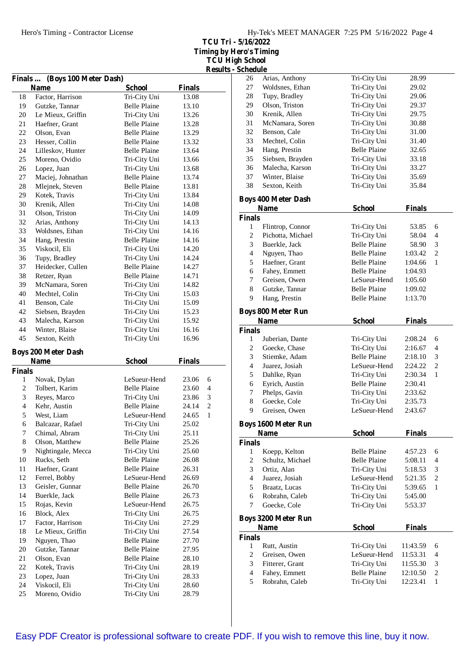**TCU Tri - 5/16/2022 Timing by Hero's Timing TCU High School**

|                          |                               |                     |               |                | <b>Results - Schedule</b>        |
|--------------------------|-------------------------------|---------------------|---------------|----------------|----------------------------------|
|                          | Finals  (Boys 100 Meter Dash) |                     |               |                | 26<br>A                          |
|                          | <b>Name</b>                   | <b>School</b>       | <b>Finals</b> |                | 27<br>V                          |
| 18                       | Factor, Harrison              | Tri-City Uni        | 13.08         |                | 28<br>T                          |
| 19                       | Gutzke, Tannar                | <b>Belle Plaine</b> | 13.10         |                | 29<br>$\mathsf{C}$               |
| 20                       | Le Mieux, Griffin             | Tri-City Uni        | 13.26         |                | 30<br>K                          |
| 21                       | Haefner, Grant                | <b>Belle Plaine</b> | 13.28         |                | 31<br>N                          |
| 22                       | Olson, Evan                   | <b>Belle Plaine</b> | 13.29         |                | 32<br>B                          |
| 23                       | Hesser, Collin                | <b>Belle Plaine</b> | 13.32         |                | 33<br>N                          |
| 24                       | Lilleskov, Hunter             | <b>Belle Plaine</b> | 13.64         |                | 34<br>$\mathbf{F}$               |
| 25                       | Moreno, Ovidio                | Tri-City Uni        | 13.66         |                | 35<br>S                          |
| 26                       | Lopez, Juan                   | Tri-City Uni        | 13.68         |                | 36<br>N                          |
| 27                       | Maciej, Johnathan             | <b>Belle Plaine</b> | 13.74         |                | V<br>37                          |
| 28                       | Mlejnek, Steven               | <b>Belle Plaine</b> | 13.81         |                | S<br>38                          |
| 29                       | Kotek, Travis                 | Tri-City Uni        | 13.84         |                |                                  |
| 30                       | Krenik, Allen                 | Tri-City Uni        | 14.08         |                | <b>Boys 40</b>                   |
| 31                       | Olson, Triston                | Tri-City Uni        | 14.09         |                | Na                               |
| 32                       | Arias, Anthony                | Tri-City Uni        | 14.13         |                | <b>Finals</b>                    |
| 33                       | Woldsnes, Ethan               | Tri-City Uni        | 14.16         |                | 1<br>F                           |
| 34                       | Hang, Prestin                 | <b>Belle Plaine</b> | 14.16         |                | $\overline{c}$<br>P              |
| 35                       | Viskocil, Eli                 | Tri-City Uni        | 14.20         |                | 3<br>B                           |
| 36                       | Tupy, Bradley                 | Tri-City Uni        | 14.24         |                | $\overline{4}$<br>N              |
| 37                       | Heidecker, Cullen             | <b>Belle Plaine</b> | 14.27         |                | 5<br>$\mathbf{F}$                |
| 38                       | Retzer, Ryan                  | <b>Belle Plaine</b> | 14.71         |                | 6<br>$\mathbf{F}$                |
| 39                       | McNamara, Soren               | Tri-City Uni        | 14.82         |                | $\overline{7}$<br>C              |
| 40                       | Mechtel, Colin                | Tri-City Uni        | 15.03         |                | 8<br>C                           |
| 41                       | Benson, Cale                  | Tri-City Uni        | 15.09         |                | 9<br>$\mathbf{F}$                |
| 42                       | Siebsen, Brayden              | Tri-City Uni        | 15.23         |                | <b>Boys 80</b>                   |
| 43                       | Malecha, Karson               | Tri-City Uni        | 15.92         |                |                                  |
| 44                       | Winter, Blaise                | Tri-City Uni        | 16.16         |                | Na                               |
| 45                       | Sexton, Keith                 | Tri-City Uni        | 16.96         |                | <b>Finals</b><br>1<br>$J_1$      |
|                          |                               |                     |               |                | 2<br>C                           |
|                          | <b>Boys 200 Meter Dash</b>    |                     |               |                | 3<br>S                           |
|                          | <b>Name</b>                   | <b>School</b>       | <b>Finals</b> |                | $\overline{4}$<br>J <sub>1</sub> |
| <b>Finals</b>            |                               |                     |               |                | 5<br>$\Gamma$                    |
| 1                        | Novak, Dylan                  | LeSueur-Hend        | 23.06         | 6              | 6<br>E                           |
| $\mathbf{2}$             | Tolbert, Karim                | <b>Belle Plaine</b> | 23.60         | 4              | 7<br>$\mathbf P$                 |
| 3                        | Reyes, Marco                  | Tri-City Uni        | 23.86         | 3              | $8\,$<br>C                       |
| $\overline{\mathcal{L}}$ | Kehr, Austin                  | <b>Belle Plaine</b> | 24.14         | $\overline{c}$ | 9<br>$\mathsf{C}$                |
| 5                        | West, Liam                    | LeSueur-Hend        | 24.65         | $\mathbf{1}$   |                                  |
| 6                        | Balcazar, Rafael              | Tri-City Uni        | 25.02         |                | <b>Boys 16</b>                   |
| 7                        | Chimal, Abram                 | Tri-City Uni        | 25.11         |                | Na                               |
| 8                        | Olson, Matthew                | <b>Belle Plaine</b> | 25.26         |                | <b>Finals</b>                    |
| 9                        | Nightingale, Mecca            | Tri-City Uni        | 25.60         |                | $\mathbf{1}$<br>K                |
| 10                       | Rucks, Seth                   | Belle Plaine        | 26.08         |                | $\overline{c}$<br>S              |
| 11                       | Haefner, Grant                | <b>Belle Plaine</b> | 26.31         |                | 3<br>$\mathsf{C}$                |
| 12                       | Ferrel, Bobby                 | LeSueur-Hend        | 26.69         |                | $\overline{4}$<br>J <sub>1</sub> |
| 13                       | Geisler, Gunnar               | <b>Belle Plaine</b> | 26.70         |                | 5<br>B                           |
| 14                       | Buerkle, Jack                 | <b>Belle Plaine</b> | 26.73         |                | 6<br>R                           |
| 15                       | Rojas, Kevin                  | LeSueur-Hend        | 26.75         |                | 7<br>$\mathsf{C}$                |
| 16                       | Block, Alex                   | Tri-City Uni        | 26.75         |                |                                  |
| 17                       | Factor, Harrison              | Tri-City Uni        | 27.29         |                | <b>Boys 320</b>                  |
| 18                       | Le Mieux, Griffin             | Tri-City Uni        | 27.54         |                | N <sub>a</sub>                   |
| 19                       | Nguyen, Thao                  | <b>Belle Plaine</b> | 27.70         |                | <b>Finals</b>                    |
| 20                       | Gutzke, Tannar                | <b>Belle Plaine</b> | 27.95         |                | $\mathbf{1}$<br>R                |
| 21                       | Olson, Evan                   | <b>Belle Plaine</b> | 28.10         |                | $\boldsymbol{2}$<br>C            |
| 22                       | Kotek, Travis                 | Tri-City Uni        | 28.19         |                | 3<br>F                           |
| 23                       | Lopez, Juan                   | Tri-City Uni        | 28.33         |                | 4<br>$\mathbf{F}$                |
| 24                       | Viskocil, Eli                 | Tri-City Uni        | 28.60         |                | 5<br>$\mathbb{R}$                |
| 25                       | Moreno, Ovidio                | Tri-City Uni        | 28.79         |                |                                  |
|                          |                               |                     |               |                |                                  |

| 26             | Arias, Anthony                            | Tri-City Uni        | 28.99         |                |
|----------------|-------------------------------------------|---------------------|---------------|----------------|
| 27             | Woldsnes, Ethan                           | Tri-City Uni        | 29.02         |                |
| 28             | Tupy, Bradley                             | Tri-City Uni        | 29.06         |                |
| 29             | Olson, Triston                            | Tri-City Uni        | 29.37         |                |
| 30             | Krenik, Allen                             | Tri-City Uni        | 29.75         |                |
| 31             | McNamara, Soren                           | Tri-City Uni        | 30.88         |                |
| 32             | Benson, Cale                              | Tri-City Uni        | 31.00         |                |
| 33             | Mechtel, Colin                            | Tri-City Uni        | 31.40         |                |
| 34             | Hang, Prestin                             | <b>Belle Plaine</b> | 32.65         |                |
| 35             | Siebsen, Brayden                          | Tri-City Uni        | 33.18         |                |
| 36             | Malecha, Karson                           | Tri-City Uni        | 33.27         |                |
| 37             | Winter, Blaise                            | Tri-City Uni        | 35.69         |                |
| 38             | Sexton, Keith                             | Tri-City Uni        | 35.84         |                |
|                |                                           |                     |               |                |
|                | <b>Boys 400 Meter Dash</b><br><b>Name</b> |                     |               |                |
|                |                                           | <b>School</b>       | <b>Finals</b> |                |
| <b>Finals</b>  |                                           |                     |               |                |
| 1              | Flintrop, Connor                          | Tri-City Uni        | 53.85         | 6              |
| $\overline{c}$ | Pichotta, Michael                         | Tri-City Uni        | 58.04         | $\overline{4}$ |
| 3              | Buerkle, Jack                             | <b>Belle Plaine</b> | 58.90         | 3              |
| $\overline{4}$ | Nguyen, Thao                              | <b>Belle Plaine</b> | 1:03.42       | $\overline{c}$ |
| 5              | Haefner, Grant                            | <b>Belle Plaine</b> | 1:04.66       | 1              |
| 6              | Fahey, Emmett                             | <b>Belle Plaine</b> | 1:04.93       |                |
| 7              | Greisen, Owen                             | LeSueur-Hend        | 1:05.60       |                |
| 8              | Gutzke, Tannar                            | <b>Belle Plaine</b> | 1:09.02       |                |
| 9              | Hang, Prestin                             | <b>Belle Plaine</b> | 1:13.70       |                |
|                | <b>Boys 800 Meter Run</b>                 |                     |               |                |
|                | <b>Name</b>                               | <b>School</b>       | <b>Finals</b> |                |
| <b>Finals</b>  |                                           |                     |               |                |
| 1              | Juberian, Dante                           | Tri-City Uni        | 2:08.24       | 6              |
| 2              | Goecke, Chase                             | Tri-City Uni        | 2:16.67       | 4              |
| 3              | Stiemke, Adam                             | <b>Belle Plaine</b> | 2:18.10       | 3              |
| $\overline{4}$ | Juarez, Josiah                            | LeSueur-Hend        | 2:24.22       | $\overline{c}$ |
| 5              | Dahlke, Ryan                              | Tri-City Uni        | 2:30.34       | 1              |
| 6              | Eyrich, Austin                            | <b>Belle Plaine</b> | 2:30.41       |                |
| 7              | Phelps, Gavin                             | Tri-City Uni        | 2:33.62       |                |
| 8              | Goecke, Cole                              | Tri-City Uni        | 2:35.73       |                |
| 9              |                                           |                     |               |                |
|                |                                           |                     |               |                |
|                | Greisen, Owen                             | LeSueur-Hend        | 2:43.67       |                |
|                | <b>Boys 1600 Meter Run</b>                |                     |               |                |
|                | <b>Name</b>                               | <b>School</b>       | <b>Finals</b> |                |
| <b>Finals</b>  |                                           |                     |               |                |
| 1              | Koepp, Kelton                             | <b>Belle Plaine</b> | 4:57.23       | 6              |
| $\overline{c}$ | Schultz, Michael                          | <b>Belle Plaine</b> | 5:08.11       | 4              |
| 3              | Ortiz, Alan                               | Tri-City Uni        | 5:18.53       | 3              |
| $\overline{4}$ | Juarez, Josiah                            | LeSueur-Hend        | 5:21.35       | 2              |
| 5              | Braatz, Lucas                             | Tri-City Uni        | 5:39.65       | 1              |
| 6              | Robrahn, Caleb                            | Tri-City Uni        | 5:45.00       |                |
| 7              | Goecke, Cole                              | Tri-City Uni        | 5:53.37       |                |
|                | <b>Boys 3200 Meter Run</b>                |                     |               |                |
|                | <b>Name</b>                               | <b>School</b>       | <b>Finals</b> |                |
| <b>Finals</b>  |                                           |                     |               |                |
| $\mathbf{1}$   | Rutt, Austin                              | Tri-City Uni        | 11:43.59      | 6              |
| 2              | Greisen, Owen                             | LeSueur-Hend        | 11:53.31      | 4              |
| 3              | Fitterer, Grant                           | Tri-City Uni        | 11:55.30      | 3              |
| $\overline{4}$ | Fahey, Emmett                             | <b>Belle Plaine</b> | 12:10.50      | 2              |
| 5              | Robrahn, Caleb                            | Tri-City Uni        | 12:23.41      | 1              |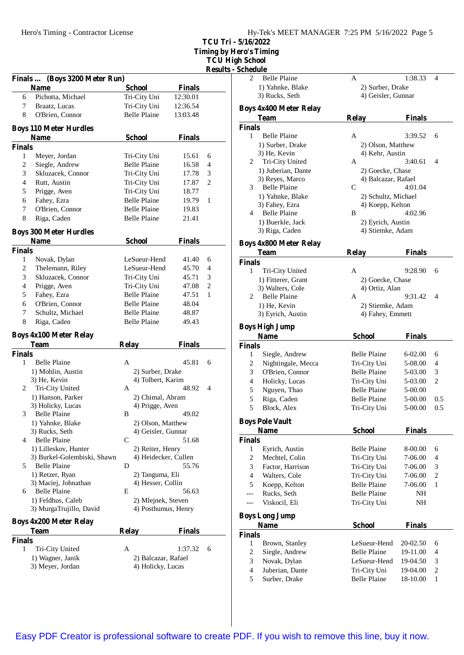| Hy-Tek's MEET MANAGER $7:25$ PM $5/16/2022$ Page 5 |  |  |  |
|----------------------------------------------------|--|--|--|
|----------------------------------------------------|--|--|--|

**TCU Tri - 5/16/2022 Timing by Hero's Timing**

**TCU High School**

**Results - Schedule**

|                    |                                              |                      |               | <b>Results</b> |
|--------------------|----------------------------------------------|----------------------|---------------|----------------|
|                    | Finals  (Boys 3200 Meter Run)<br><b>Name</b> | <b>School</b>        | <b>Finals</b> |                |
| 6                  | Pichotta, Michael                            | Tri-City Uni         | 12:30.01      |                |
| 7                  | Braatz, Lucas                                | Tri-City Uni         | 12:36.54      |                |
| 8                  | O'Brien, Connor                              | <b>Belle Plaine</b>  | 13:03.48      |                |
|                    |                                              |                      |               |                |
|                    | <b>Boys 110 Meter Hurdles</b><br><b>Name</b> | <b>School</b>        | <b>Finals</b> |                |
| <b>Finals</b>      |                                              |                      |               |                |
| 1                  | Meyer, Jordan                                | Tri-City Uni         | 15.61         | 6              |
| 2                  | Siegle, Andrew                               | <b>Belle Plaine</b>  | 16.58         | 4              |
| 3                  | Skluzacek, Connor                            | Tri-City Uni         | 17.78         | 3              |
| $\overline{4}$     |                                              |                      |               |                |
|                    | Rutt, Austin                                 | Tri-City Uni         | 17.87         | 2              |
| 5                  | Prigge, Aven                                 | Tri-City Uni         | 18.77         |                |
| 6                  | Fahey, Ezra                                  | <b>Belle Plaine</b>  | 19.79         | 1              |
| 7                  | O'Brien, Connor                              | <b>Belle Plaine</b>  | 19.83         |                |
| 8                  | Riga, Caden                                  | <b>Belle Plaine</b>  | 21.41         |                |
|                    | <b>Boys 300 Meter Hurdles</b>                |                      |               |                |
|                    | <b>Name</b>                                  | <b>School</b>        | <b>Finals</b> |                |
| <b>Finals</b><br>1 |                                              | LeSueur-Hend         | 41.40         | 6              |
|                    | Novak, Dylan                                 |                      |               |                |
| 2                  | Thelemann, Riley                             | LeSueur-Hend         | 45.70         | 4              |
| 3                  | Skluzacek, Connor                            | Tri-City Uni         | 45.71         | 3              |
| 4                  | Prigge, Aven                                 | Tri-City Uni         | 47.08         | $\overline{c}$ |
| 5                  | Fahey, Ezra                                  | <b>Belle Plaine</b>  | 47.51         | 1              |
| 6                  | O'Brien, Connor                              | <b>Belle Plaine</b>  | 48.04         |                |
| 7                  | Schultz, Michael                             | <b>Belle Plaine</b>  | 48.87         |                |
| 8                  | Riga, Caden                                  | <b>Belle Plaine</b>  | 49.43         |                |
|                    | <b>Boys 4x100 Meter Relay</b>                |                      |               |                |
|                    | Team                                         | <b>Relay</b>         | <b>Finals</b> |                |
| <b>Finals</b><br>1 | <b>Belle Plaine</b>                          | A                    | 45.81         |                |
|                    |                                              |                      |               | 6              |
|                    | 1) Mohlin, Austin                            | 2) Surber, Drake     |               |                |
|                    | 3) He, Kevin                                 | 4) Tolbert, Karim    |               |                |
|                    | 2 Tri-City United                            | A                    | 48.92         | 4              |
|                    | 1) Hanson, Parker                            | 2) Chimal, Abram     |               |                |
|                    | 3) Holicky, Lucas                            | 4) Prigge, Aven      |               |                |
|                    | 3 Belle Plaine                               | B                    | 49.02         |                |
|                    | 1) Yahnke, Blake                             | 2) Olson, Matthew    |               |                |
|                    | 3) Rucks, Seth                               | 4) Geisler, Gunnar   |               |                |
| 4                  | <b>Belle Plaine</b>                          | C                    | 51.68         |                |
|                    | 1) Lilleskov, Hunter                         | 2) Reiter, Henry     |               |                |
|                    | 3) Burkel-Golembiski, Shawn                  | 4) Heidecker, Cullen |               |                |
| 5                  | Belle Plaine                                 | D                    | 55.76         |                |
|                    | 1) Retzer, Ryan                              | 2) Tanguma, Eli      |               |                |
|                    | 3) Maciej, Johnathan                         | 4) Hesser, Collin    |               |                |
| 6                  | <b>Belle Plaine</b>                          | E                    | 56.63         |                |
|                    | 1) Feldhus, Caleb                            | 2) Mlejnek, Steven   |               |                |
|                    | 3) MurgaTrujillo, David                      | 4) Posthumus, Henry  |               |                |
|                    | <b>Boys 4x200 Meter Relay</b>                |                      |               |                |
|                    | <b>Team</b>                                  | <b>Relay</b>         | <b>Finals</b> |                |
| <b>Finals</b>      |                                              |                      |               |                |
| 1                  | Tri-City United                              | A                    | 1:37.32       | 6              |
|                    | 1) Wagner, Janik                             | 2) Balcazar, Rafael  |               |                |
|                    | 3) Meyer, Jordan                             | 4) Holicky, Lucas    |               |                |
|                    |                                              |                      |               |                |

| 2              | <b>Belle Plaine</b>           | А                   | 1:38.33       | 4              |
|----------------|-------------------------------|---------------------|---------------|----------------|
|                | 1) Yahnke, Blake              | 2) Surber, Drake    |               |                |
|                | 3) Rucks, Seth                | 4) Geisler, Gunnar  |               |                |
|                | <b>Boys 4x400 Meter Relay</b> |                     |               |                |
|                | <b>Team</b>                   | <b>Relay</b>        | <b>Finals</b> |                |
| Finals         |                               |                     |               |                |
| 1              | Belle Plaine                  | A                   | 3:39.52       | 6              |
|                | 1) Surber, Drake              | 2) Olson, Matthew   |               |                |
|                | 3) He, Kevin                  | 4) Kehr, Austin     |               |                |
| 2              | Tri-City United               | A                   | 3:40.61       | 4              |
|                | 1) Juberian, Dante            | 2) Goecke, Chase    |               |                |
|                | 3) Reyes, Marco               | 4) Balcazar, Rafael |               |                |
| 3              | <b>Belle Plaine</b>           | C                   | 4:01.04       |                |
|                | 1) Yahnke, Blake              | 2) Schultz, Michael |               |                |
|                | 3) Fahey, Ezra                | 4) Koepp, Kelton    |               |                |
| 4              | <b>Belle Plaine</b>           | B                   | 4:02.96       |                |
|                | 1) Buerkle, Jack              | 2) Eyrich, Austin   |               |                |
|                | 3) Riga, Caden                | 4) Stiemke, Adam    |               |                |
|                | <b>Boys 4x800 Meter Relay</b> |                     |               |                |
|                | <b>Team</b>                   | <b>Relay</b>        | <b>Finals</b> |                |
| <b>Finals</b>  |                               |                     |               |                |
| 1              | Tri-City United               | A                   | 9:28.90       | 6              |
|                | 1) Fitterer, Grant            | 2) Goecke, Chase    |               |                |
|                | 3) Walters, Cole              | 4) Ortiz, Alan      |               |                |
| 2              | <b>Belle Plaine</b>           | A                   | 9:31.42       | 4              |
|                | 1) He, Kevin                  | 2) Stiemke, Adam    |               |                |
|                | 3) Eyrich, Austin             | 4) Fahey, Emmett    |               |                |
|                | Boys High Jump                |                     |               |                |
|                | <b>Name</b>                   | <b>School</b>       | <b>Finals</b> |                |
| <b>Finals</b>  |                               |                     |               |                |
| 1              | Siegle, Andrew                | Belle Plaine        | 6-02.00       | 6              |
| $\overline{c}$ | Nightingale, Mecca            | Tri-City Uni        | 5-08.00       | 4              |
| 3              | O'Brien, Connor               | <b>Belle Plaine</b> | 5-03.00       | 3              |
| $\overline{4}$ | Holicky, Lucas                | Tri-City Uni        | 5-03.00       | $\mathfrak{2}$ |
| 5              | Nguyen, Thao                  | <b>Belle Plaine</b> | 5-00.00       |                |
| 5              | Riga, Caden                   | <b>Belle Plaine</b> | 5-00.00       | 0.5            |
| 5              | Block, Alex                   | Tri-City Uni        | 5-00.00       | 0.5            |
|                | <b>Boys Pole Vault</b>        |                     |               |                |
|                | <b>Name</b>                   | <b>School</b>       | <b>Finals</b> |                |
| Finals         |                               |                     |               |                |
| 1              | Eyrich, Austin                | <b>Belle Plaine</b> | 8-00.00       | 6              |
| $\overline{c}$ | Mechtel, Colin                | Tri-City Uni        | 7-06.00       | 4              |
| 3              | Factor, Harrison              | Tri-City Uni        | 7-06.00       | 3              |
| $\overline{4}$ | Walters, Cole                 | Tri-City Uni        | 7-06.00       | 2              |
| 5              | Koepp, Kelton                 | <b>Belle Plaine</b> | 7-06.00       | 1              |
| ---            | Rucks, Seth                   | <b>Belle Plaine</b> | NH            |                |
|                | Viskocil, Eli                 | Tri-City Uni        | NH            |                |
|                | <b>Boys Long Jump</b>         |                     |               |                |
|                | <b>Name</b>                   | <b>School</b>       | <b>Finals</b> |                |
| <b>Finals</b>  |                               |                     |               |                |
| 1              | Brown, Stanley                | LeSueur-Hend        | 20-02.50      | 6              |
|                |                               |                     |               |                |
| $\overline{c}$ | Siegle, Andrew                | <b>Belle Plaine</b> | 19-11.00      | 4              |
| 3              | Novak, Dylan                  | LeSueur-Hend        | 19-04.50      | 3              |
| 4              | Juberian, Dante               | Tri-City Uni        | 19-04.00      | 2              |
| 5              | Surber, Drake                 | <b>Belle Plaine</b> | 18-10.00      | 1              |